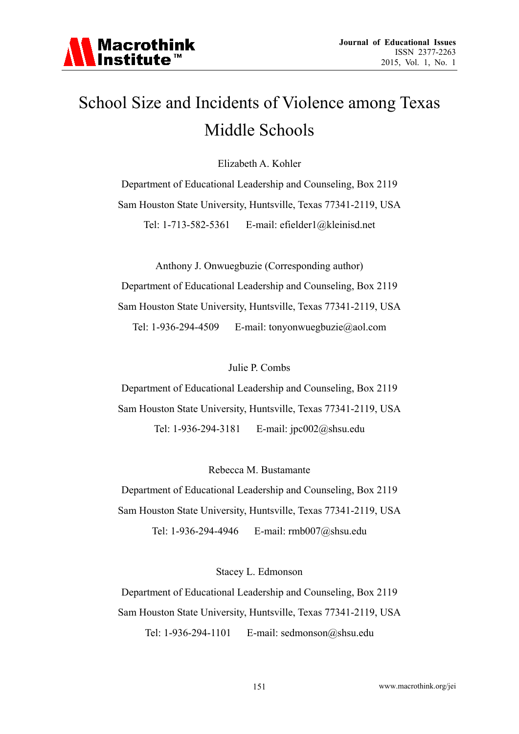

# School Size and Incidents of Violence among Texas Middle Schools

Elizabeth A. Kohler

Department of Educational Leadership and Counseling, Box 2119 Sam Houston State University, Huntsville, Texas 77341-2119, USA Tel: 1-713-582-5361 E-mail: efielder1@kleinisd.net

Anthony J. Onwuegbuzie (Corresponding author) Department of Educational Leadership and Counseling, Box 2119 Sam Houston State University, Huntsville, Texas 77341-2119, USA Tel: 1-936-294-4509 E-mail: tonyonwuegbuzie@aol.com

Julie P. Combs

Department of Educational Leadership and Counseling, Box 2119 Sam Houston State University, Huntsville, Texas 77341-2119, USA Tel: 1-936-294-3181 E-mail: jpc002@shsu.edu

Rebecca M. Bustamante

Department of Educational Leadership and Counseling, Box 2119 Sam Houston State University, Huntsville, Texas 77341-2119, USA Tel: 1-936-294-4946 E-mail: rmb007@shsu.edu

Stacey L. Edmonson

Department of Educational Leadership and Counseling, Box 2119 Sam Houston State University, Huntsville, Texas 77341-2119, USA

Tel: 1-936-294-1101 E-mail: sedmonson@shsu.edu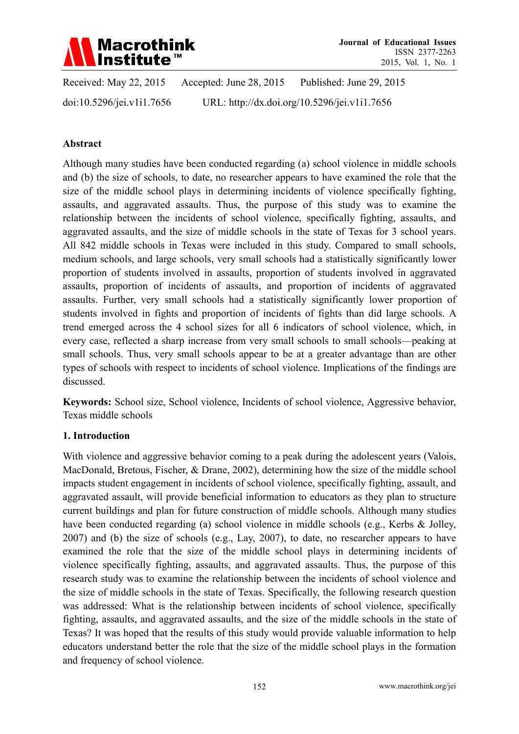

Received: May 22, 2015 Accepted: June 28, 2015 Published: June 29, 2015 doi:10.5296/jei.v1i1.7656 URL: http://dx.doi.org/10.5296/jei.v1i1.7656

#### **Abstract**

Although many studies have been conducted regarding (a) school violence in middle schools and (b) the size of schools, to date, no researcher appears to have examined the role that the size of the middle school plays in determining incidents of violence specifically fighting, assaults, and aggravated assaults. Thus, the purpose of this study was to examine the relationship between the incidents of school violence, specifically fighting, assaults, and aggravated assaults, and the size of middle schools in the state of Texas for 3 school years. All 842 middle schools in Texas were included in this study. Compared to small schools, medium schools, and large schools, very small schools had a statistically significantly lower proportion of students involved in assaults, proportion of students involved in aggravated assaults, proportion of incidents of assaults, and proportion of incidents of aggravated assaults. Further, very small schools had a statistically significantly lower proportion of students involved in fights and proportion of incidents of fights than did large schools. A trend emerged across the 4 school sizes for all 6 indicators of school violence, which, in every case, reflected a sharp increase from very small schools to small schools—peaking at small schools. Thus, very small schools appear to be at a greater advantage than are other types of schools with respect to incidents of school violence. Implications of the findings are discussed.

**Keywords:** School size, School violence, Incidents of school violence, Aggressive behavior, Texas middle schools

#### **1. Introduction**

With violence and aggressive behavior coming to a peak during the adolescent years (Valois, MacDonald, Bretous, Fischer, & Drane, 2002), determining how the size of the middle school impacts student engagement in incidents of school violence, specifically fighting, assault, and aggravated assault, will provide beneficial information to educators as they plan to structure current buildings and plan for future construction of middle schools. Although many studies have been conducted regarding (a) school violence in middle schools (e.g., Kerbs & Jolley, 2007) and (b) the size of schools (e.g., Lay, 2007), to date, no researcher appears to have examined the role that the size of the middle school plays in determining incidents of violence specifically fighting, assaults, and aggravated assaults. Thus, the purpose of this research study was to examine the relationship between the incidents of school violence and the size of middle schools in the state of Texas. Specifically, the following research question was addressed: What is the relationship between incidents of school violence, specifically fighting, assaults, and aggravated assaults, and the size of the middle schools in the state of Texas? It was hoped that the results of this study would provide valuable information to help educators understand better the role that the size of the middle school plays in the formation and frequency of school violence.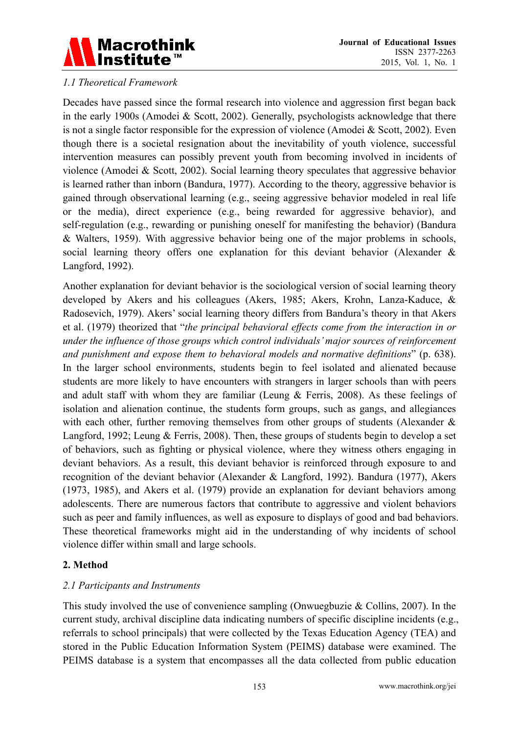

## *1.1 Theoretical Framework*

Decades have passed since the formal research into violence and aggression first began back in the early 1900s (Amodei & Scott, 2002). Generally, psychologists acknowledge that there is not a single factor responsible for the expression of violence (Amodei & Scott, 2002). Even though there is a societal resignation about the inevitability of youth violence, successful intervention measures can possibly prevent youth from becoming involved in incidents of violence (Amodei & Scott, 2002). Social learning theory speculates that aggressive behavior is learned rather than inborn (Bandura, 1977). According to the theory, aggressive behavior is gained through observational learning (e.g., seeing aggressive behavior modeled in real life or the media), direct experience (e.g., being rewarded for aggressive behavior), and self-regulation (e.g., rewarding or punishing oneself for manifesting the behavior) (Bandura & Walters, 1959). With aggressive behavior being one of the major problems in schools, social learning theory offers one explanation for this deviant behavior (Alexander & Langford, 1992).

Another explanation for deviant behavior is the sociological version of social learning theory developed by Akers and his colleagues (Akers, 1985; Akers, Krohn, Lanza-Kaduce, & Radosevich, 1979). Akers' social learning theory differs from Bandura's theory in that Akers et al. (1979) theorized that "*the principal behavioral effects come from the interaction in or under the influence of those groups which control individuals' major sources of reinforcement and punishment and expose them to behavioral models and normative definitions*" (p. 638). In the larger school environments, students begin to feel isolated and alienated because students are more likely to have encounters with strangers in larger schools than with peers and adult staff with whom they are familiar (Leung  $\&$  Ferris, 2008). As these feelings of isolation and alienation continue, the students form groups, such as gangs, and allegiances with each other, further removing themselves from other groups of students (Alexander & Langford, 1992; Leung & Ferris, 2008). Then, these groups of students begin to develop a set of behaviors, such as fighting or physical violence, where they witness others engaging in deviant behaviors. As a result, this deviant behavior is reinforced through exposure to and recognition of the deviant behavior (Alexander & Langford, 1992). Bandura (1977), Akers (1973, 1985), and Akers et al. (1979) provide an explanation for deviant behaviors among adolescents. There are numerous factors that contribute to aggressive and violent behaviors such as peer and family influences, as well as exposure to displays of good and bad behaviors. These theoretical frameworks might aid in the understanding of why incidents of school violence differ within small and large schools.

## **2. Method**

## *2.1 Participants and Instruments*

This study involved the use of convenience sampling (Onwuegbuzie  $&$  Collins, 2007). In the current study, archival discipline data indicating numbers of specific discipline incidents (e.g., referrals to school principals) that were collected by the Texas Education Agency (TEA) and stored in the Public Education Information System (PEIMS) database were examined. The PEIMS database is a system that encompasses all the data collected from public education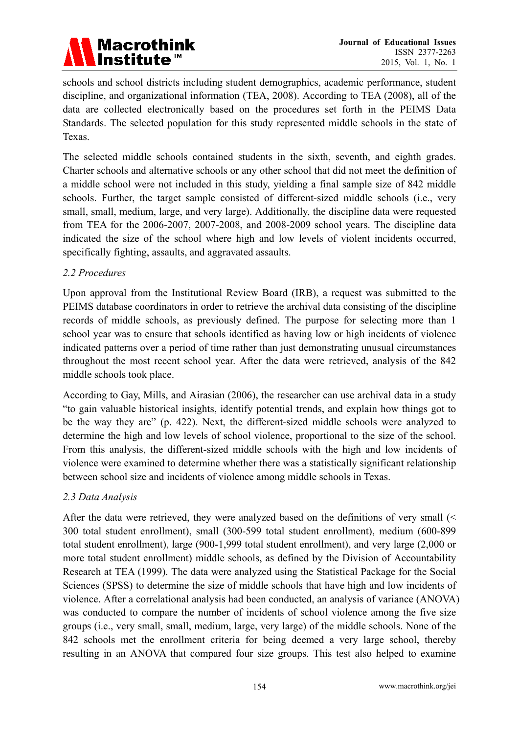

schools and school districts including student demographics, academic performance, student discipline, and organizational information (TEA, 2008). According to TEA (2008), all of the data are collected electronically based on the procedures set forth in the PEIMS Data Standards. The selected population for this study represented middle schools in the state of Texas.

The selected middle schools contained students in the sixth, seventh, and eighth grades. Charter schools and alternative schools or any other school that did not meet the definition of a middle school were not included in this study, yielding a final sample size of 842 middle schools. Further, the target sample consisted of different-sized middle schools (i.e., very small, small, medium, large, and very large). Additionally, the discipline data were requested from TEA for the 2006-2007, 2007-2008, and 2008-2009 school years. The discipline data indicated the size of the school where high and low levels of violent incidents occurred, specifically fighting, assaults, and aggravated assaults.

## *2.2 Procedures*

Upon approval from the Institutional Review Board (IRB), a request was submitted to the PEIMS database coordinators in order to retrieve the archival data consisting of the discipline records of middle schools, as previously defined. The purpose for selecting more than 1 school year was to ensure that schools identified as having low or high incidents of violence indicated patterns over a period of time rather than just demonstrating unusual circumstances throughout the most recent school year. After the data were retrieved, analysis of the 842 middle schools took place.

According to Gay, Mills, and Airasian (2006), the researcher can use archival data in a study "to gain valuable historical insights, identify potential trends, and explain how things got to be the way they are" (p. 422). Next, the different-sized middle schools were analyzed to determine the high and low levels of school violence, proportional to the size of the school. From this analysis, the different-sized middle schools with the high and low incidents of violence were examined to determine whether there was a statistically significant relationship between school size and incidents of violence among middle schools in Texas.

## *2.3 Data Analysis*

After the data were retrieved, they were analyzed based on the definitions of very small (< 300 total student enrollment), small (300-599 total student enrollment), medium (600-899 total student enrollment), large (900-1,999 total student enrollment), and very large (2,000 or more total student enrollment) middle schools, as defined by the Division of Accountability Research at TEA (1999). The data were analyzed using the Statistical Package for the Social Sciences (SPSS) to determine the size of middle schools that have high and low incidents of violence. After a correlational analysis had been conducted, an analysis of variance (ANOVA) was conducted to compare the number of incidents of school violence among the five size groups (i.e., very small, small, medium, large, very large) of the middle schools. None of the 842 schools met the enrollment criteria for being deemed a very large school, thereby resulting in an ANOVA that compared four size groups. This test also helped to examine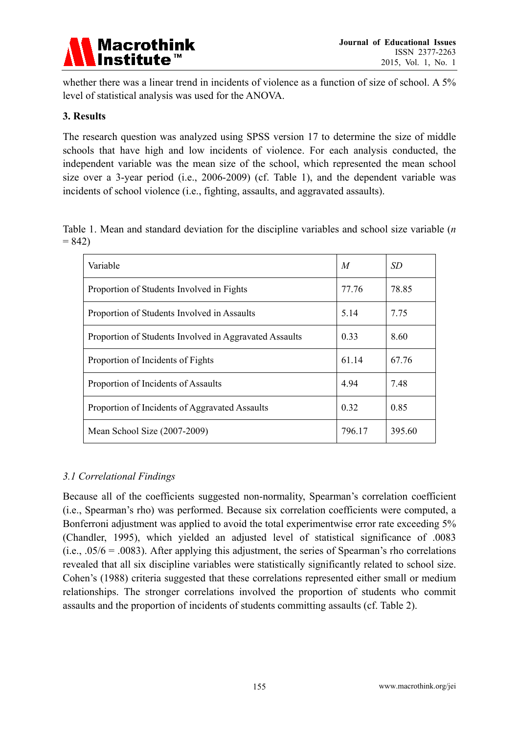

whether there was a linear trend in incidents of violence as a function of size of school. A 5% level of statistical analysis was used for the ANOVA.

## **3. Results**

The research question was analyzed using SPSS version 17 to determine the size of middle schools that have high and low incidents of violence. For each analysis conducted, the independent variable was the mean size of the school, which represented the mean school size over a 3-year period (i.e., 2006-2009) (cf. Table 1), and the dependent variable was incidents of school violence (i.e., fighting, assaults, and aggravated assaults).

Table 1. Mean and standard deviation for the discipline variables and school size variable (*n*   $= 842$ 

| Variable                                               | $\overline{M}$ | SD     |
|--------------------------------------------------------|----------------|--------|
| Proportion of Students Involved in Fights              | 77.76          | 78.85  |
| Proportion of Students Involved in Assaults            | 5.14           | 7.75   |
| Proportion of Students Involved in Aggravated Assaults | 0.33           | 8.60   |
| Proportion of Incidents of Fights                      | 61.14          | 67.76  |
| Proportion of Incidents of Assaults                    | 4.94           | 7.48   |
| Proportion of Incidents of Aggravated Assaults         | 0.32           | 0.85   |
| Mean School Size (2007-2009)                           | 796.17         | 395.60 |

# *3.1 Correlational Findings*

Because all of the coefficients suggested non-normality, Spearman's correlation coefficient (i.e., Spearman's rho) was performed. Because six correlation coefficients were computed, a Bonferroni adjustment was applied to avoid the total experimentwise error rate exceeding 5% (Chandler, 1995), which yielded an adjusted level of statistical significance of .0083 (i.e., .05/6 = .0083). After applying this adjustment, the series of Spearman's rho correlations revealed that all six discipline variables were statistically significantly related to school size. Cohen's (1988) criteria suggested that these correlations represented either small or medium relationships. The stronger correlations involved the proportion of students who commit assaults and the proportion of incidents of students committing assaults (cf. Table 2).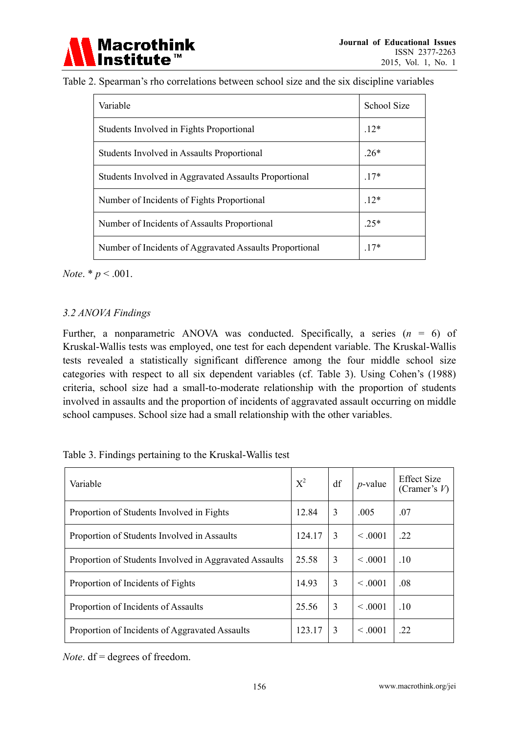

| Table 2. Spearman's rho correlations between school size and the six discipline variables |  |  |  |  |  |  |  |  |  |  |
|-------------------------------------------------------------------------------------------|--|--|--|--|--|--|--|--|--|--|
|-------------------------------------------------------------------------------------------|--|--|--|--|--|--|--|--|--|--|

| Variable                                                | <b>School Size</b> |
|---------------------------------------------------------|--------------------|
| Students Involved in Fights Proportional                | $12*$              |
| Students Involved in Assaults Proportional              | $.26*$             |
| Students Involved in Aggravated Assaults Proportional   | $.17*$             |
| Number of Incidents of Fights Proportional              | $.12*$             |
| Number of Incidents of Assaults Proportional            | $25*$              |
| Number of Incidents of Aggravated Assaults Proportional | $17*$              |

*Note*. \* *p* < .001.

## *3.2 ANOVA Findings*

Further, a nonparametric ANOVA was conducted. Specifically, a series  $(n = 6)$  of Kruskal-Wallis tests was employed, one test for each dependent variable. The Kruskal-Wallis tests revealed a statistically significant difference among the four middle school size categories with respect to all six dependent variables (cf. Table 3). Using Cohen's (1988) criteria, school size had a small-to-moderate relationship with the proportion of students involved in assaults and the proportion of incidents of aggravated assault occurring on middle school campuses. School size had a small relationship with the other variables.

| Table 3. Findings pertaining to the Kruskal-Wallis test |
|---------------------------------------------------------|
|---------------------------------------------------------|

| Variable                                               | $X^2$  | df | $p$ -value   | <b>Effect Size</b><br>(Cramer's $V$ ) |
|--------------------------------------------------------|--------|----|--------------|---------------------------------------|
| Proportion of Students Involved in Fights              | 12.84  | 3  | .005         | .07                                   |
| Proportion of Students Involved in Assaults            | 124.17 | 3  | $\leq 0.001$ | .22                                   |
| Proportion of Students Involved in Aggravated Assaults | 25.58  | 3  | $\leq 0.001$ | .10                                   |
| Proportion of Incidents of Fights                      | 14.93  | 3  | $\leq 0.001$ | .08                                   |
| Proportion of Incidents of Assaults                    | 25.56  | 3  | $\leq 0.001$ | .10                                   |
| Proportion of Incidents of Aggravated Assaults         | 123.17 | 3  | $\leq 0.001$ | .22                                   |

*Note*. df = degrees of freedom.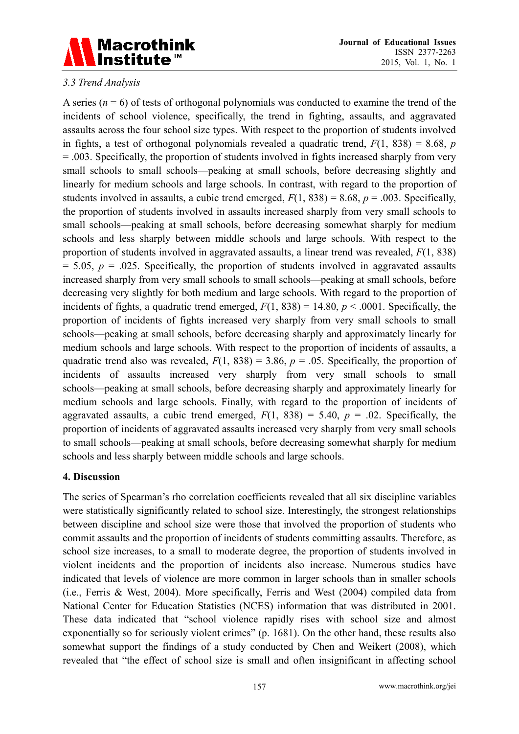

## *3.3 Trend Analysis*

A series  $(n = 6)$  of tests of orthogonal polynomials was conducted to examine the trend of the incidents of school violence, specifically, the trend in fighting, assaults, and aggravated assaults across the four school size types. With respect to the proportion of students involved in fights, a test of orthogonal polynomials revealed a quadratic trend,  $F(1, 838) = 8.68$ , *p* = .003. Specifically, the proportion of students involved in fights increased sharply from very small schools to small schools—peaking at small schools, before decreasing slightly and linearly for medium schools and large schools. In contrast, with regard to the proportion of students involved in assaults, a cubic trend emerged,  $F(1, 838) = 8.68$ ,  $p = .003$ . Specifically, the proportion of students involved in assaults increased sharply from very small schools to small schools—peaking at small schools, before decreasing somewhat sharply for medium schools and less sharply between middle schools and large schools. With respect to the proportion of students involved in aggravated assaults, a linear trend was revealed, *F*(1, 838)  $= 5.05$ ,  $p = .025$ . Specifically, the proportion of students involved in aggravated assaults increased sharply from very small schools to small schools—peaking at small schools, before decreasing very slightly for both medium and large schools. With regard to the proportion of incidents of fights, a quadratic trend emerged,  $F(1, 838) = 14.80$ ,  $p < .0001$ . Specifically, the proportion of incidents of fights increased very sharply from very small schools to small schools—peaking at small schools, before decreasing sharply and approximately linearly for medium schools and large schools. With respect to the proportion of incidents of assaults, a quadratic trend also was revealed,  $F(1, 838) = 3.86$ ,  $p = .05$ . Specifically, the proportion of incidents of assaults increased very sharply from very small schools to small schools—peaking at small schools, before decreasing sharply and approximately linearly for medium schools and large schools. Finally, with regard to the proportion of incidents of aggravated assaults, a cubic trend emerged,  $F(1, 838) = 5.40$ ,  $p = .02$ . Specifically, the proportion of incidents of aggravated assaults increased very sharply from very small schools to small schools—peaking at small schools, before decreasing somewhat sharply for medium schools and less sharply between middle schools and large schools.

#### **4. Discussion**

The series of Spearman's rho correlation coefficients revealed that all six discipline variables were statistically significantly related to school size. Interestingly, the strongest relationships between discipline and school size were those that involved the proportion of students who commit assaults and the proportion of incidents of students committing assaults. Therefore, as school size increases, to a small to moderate degree, the proportion of students involved in violent incidents and the proportion of incidents also increase. Numerous studies have indicated that levels of violence are more common in larger schools than in smaller schools (i.e., Ferris & West, 2004). More specifically, Ferris and West (2004) compiled data from National Center for Education Statistics (NCES) information that was distributed in 2001. These data indicated that "school violence rapidly rises with school size and almost exponentially so for seriously violent crimes" (p. 1681). On the other hand, these results also somewhat support the findings of a study conducted by Chen and Weikert (2008), which revealed that "the effect of school size is small and often insignificant in affecting school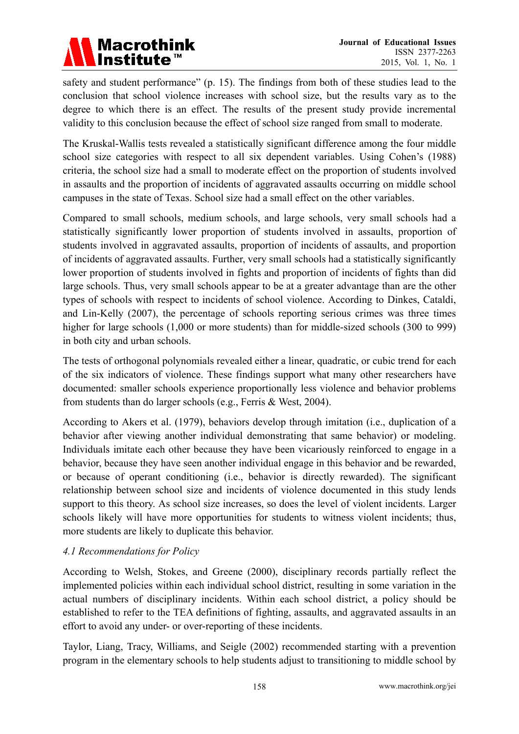

safety and student performance" (p. 15). The findings from both of these studies lead to the conclusion that school violence increases with school size, but the results vary as to the degree to which there is an effect. The results of the present study provide incremental validity to this conclusion because the effect of school size ranged from small to moderate.

The Kruskal-Wallis tests revealed a statistically significant difference among the four middle school size categories with respect to all six dependent variables. Using Cohen's (1988) criteria, the school size had a small to moderate effect on the proportion of students involved in assaults and the proportion of incidents of aggravated assaults occurring on middle school campuses in the state of Texas. School size had a small effect on the other variables.

Compared to small schools, medium schools, and large schools, very small schools had a statistically significantly lower proportion of students involved in assaults, proportion of students involved in aggravated assaults, proportion of incidents of assaults, and proportion of incidents of aggravated assaults. Further, very small schools had a statistically significantly lower proportion of students involved in fights and proportion of incidents of fights than did large schools. Thus, very small schools appear to be at a greater advantage than are the other types of schools with respect to incidents of school violence. According to Dinkes, Cataldi, and Lin-Kelly (2007), the percentage of schools reporting serious crimes was three times higher for large schools  $(1,000)$  or more students) than for middle-sized schools  $(300)$  to 999) in both city and urban schools.

The tests of orthogonal polynomials revealed either a linear, quadratic, or cubic trend for each of the six indicators of violence. These findings support what many other researchers have documented: smaller schools experience proportionally less violence and behavior problems from students than do larger schools (e.g., Ferris & West, 2004).

According to Akers et al. (1979), behaviors develop through imitation (i.e., duplication of a behavior after viewing another individual demonstrating that same behavior) or modeling. Individuals imitate each other because they have been vicariously reinforced to engage in a behavior, because they have seen another individual engage in this behavior and be rewarded, or because of operant conditioning (i.e., behavior is directly rewarded). The significant relationship between school size and incidents of violence documented in this study lends support to this theory. As school size increases, so does the level of violent incidents. Larger schools likely will have more opportunities for students to witness violent incidents; thus, more students are likely to duplicate this behavior.

## *4.1 Recommendations for Policy*

According to Welsh, Stokes, and Greene (2000), disciplinary records partially reflect the implemented policies within each individual school district, resulting in some variation in the actual numbers of disciplinary incidents. Within each school district, a policy should be established to refer to the TEA definitions of fighting, assaults, and aggravated assaults in an effort to avoid any under- or over-reporting of these incidents.

Taylor, Liang, Tracy, Williams, and Seigle (2002) recommended starting with a prevention program in the elementary schools to help students adjust to transitioning to middle school by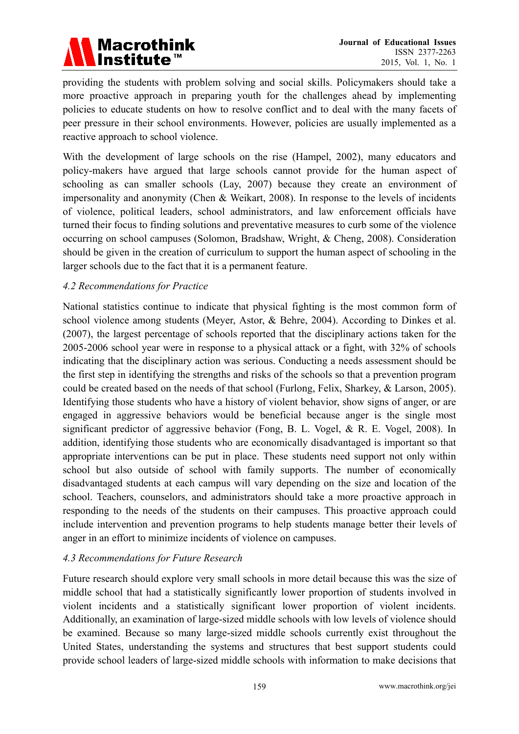

providing the students with problem solving and social skills. Policymakers should take a more proactive approach in preparing youth for the challenges ahead by implementing policies to educate students on how to resolve conflict and to deal with the many facets of peer pressure in their school environments. However, policies are usually implemented as a reactive approach to school violence.

With the development of large schools on the rise (Hampel, 2002), many educators and policy-makers have argued that large schools cannot provide for the human aspect of schooling as can smaller schools (Lay, 2007) because they create an environment of impersonality and anonymity (Chen & Weikart, 2008). In response to the levels of incidents of violence, political leaders, school administrators, and law enforcement officials have turned their focus to finding solutions and preventative measures to curb some of the violence occurring on school campuses (Solomon, Bradshaw, Wright, & Cheng, 2008). Consideration should be given in the creation of curriculum to support the human aspect of schooling in the larger schools due to the fact that it is a permanent feature.

## *4.2 Recommendations for Practice*

National statistics continue to indicate that physical fighting is the most common form of school violence among students (Meyer, Astor, & Behre, 2004). According to Dinkes et al. (2007), the largest percentage of schools reported that the disciplinary actions taken for the 2005-2006 school year were in response to a physical attack or a fight, with 32% of schools indicating that the disciplinary action was serious. Conducting a needs assessment should be the first step in identifying the strengths and risks of the schools so that a prevention program could be created based on the needs of that school (Furlong, Felix, Sharkey, & Larson, 2005). Identifying those students who have a history of violent behavior, show signs of anger, or are engaged in aggressive behaviors would be beneficial because anger is the single most significant predictor of aggressive behavior (Fong, B. L. Vogel, & R. E. Vogel, 2008). In addition, identifying those students who are economically disadvantaged is important so that appropriate interventions can be put in place. These students need support not only within school but also outside of school with family supports. The number of economically disadvantaged students at each campus will vary depending on the size and location of the school. Teachers, counselors, and administrators should take a more proactive approach in responding to the needs of the students on their campuses. This proactive approach could include intervention and prevention programs to help students manage better their levels of anger in an effort to minimize incidents of violence on campuses.

#### *4.3 Recommendations for Future Research*

Future research should explore very small schools in more detail because this was the size of middle school that had a statistically significantly lower proportion of students involved in violent incidents and a statistically significant lower proportion of violent incidents. Additionally, an examination of large-sized middle schools with low levels of violence should be examined. Because so many large-sized middle schools currently exist throughout the United States, understanding the systems and structures that best support students could provide school leaders of large-sized middle schools with information to make decisions that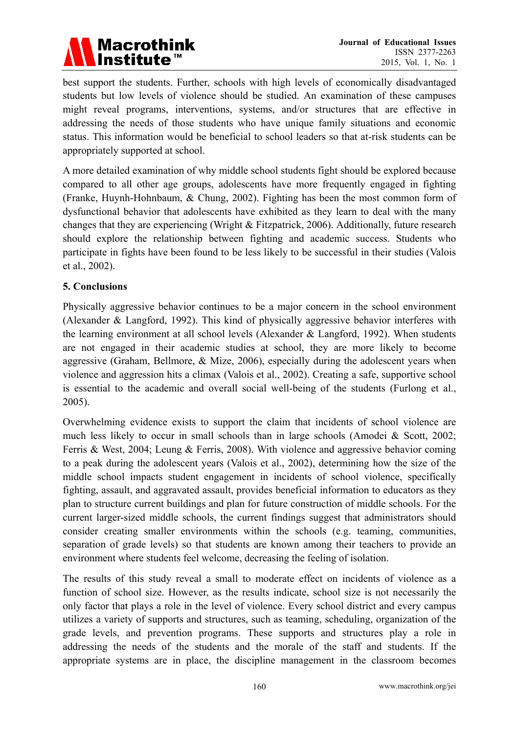

best support the students. Further, schools with high levels of economically disadvantaged students but low levels of violence should be studied. An examination of these campuses might reveal programs, interventions, systems, and/or structures that are effective in addressing the needs of those students who have unique family situations and economic status. This information would be beneficial to school leaders so that at-risk students can be appropriately supported at school.

A more detailed examination of why middle school students fight should be explored because compared to all other age groups, adolescents have more frequently engaged in fighting (Franke, Huynh-Hohnbaum, & Chung, 2002). Fighting has been the most common form of dysfunctional behavior that adolescents have exhibited as they learn to deal with the many changes that they are experiencing (Wright & Fitzpatrick, 2006). Additionally, future research should explore the relationship between fighting and academic success. Students who participate in fights have been found to be less likely to be successful in their studies (Valois et al., 2002).

#### **5. Conclusions**

Physically aggressive behavior continues to be a major concern in the school environment (Alexander & Langford, 1992). This kind of physically aggressive behavior interferes with the learning environment at all school levels (Alexander & Langford, 1992). When students are not engaged in their academic studies at school, they are more likely to become aggressive (Graham, Bellmore, & Mize, 2006), especially during the adolescent years when violence and aggression hits a climax (Valois et al., 2002). Creating a safe, supportive school is essential to the academic and overall social well-being of the students (Furlong et al., 2005).

Overwhelming evidence exists to support the claim that incidents of school violence are much less likely to occur in small schools than in large schools (Amodei & Scott, 2002; Ferris & West, 2004; Leung & Ferris, 2008). With violence and aggressive behavior coming to a peak during the adolescent years (Valois et al., 2002), determining how the size of the middle school impacts student engagement in incidents of school violence, specifically fighting, assault, and aggravated assault, provides beneficial information to educators as they plan to structure current buildings and plan for future construction of middle schools. For the current larger-sized middle schools, the current findings suggest that administrators should consider creating smaller environments within the schools (e.g. teaming, communities, separation of grade levels) so that students are known among their teachers to provide an environment where students feel welcome, decreasing the feeling of isolation.

The results of this study reveal a small to moderate effect on incidents of violence as a function of school size. However, as the results indicate, school size is not necessarily the only factor that plays a role in the level of violence. Every school district and every campus utilizes a variety of supports and structures, such as teaming, scheduling, organization of the grade levels, and prevention programs. These supports and structures play a role in addressing the needs of the students and the morale of the staff and students. If the appropriate systems are in place, the discipline management in the classroom becomes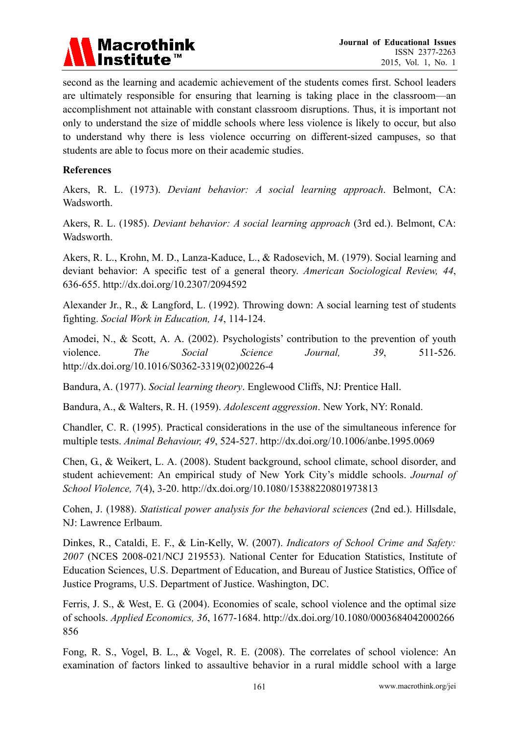

second as the learning and academic achievement of the students comes first. School leaders are ultimately responsible for ensuring that learning is taking place in the classroom—an accomplishment not attainable with constant classroom disruptions. Thus, it is important not only to understand the size of middle schools where less violence is likely to occur, but also to understand why there is less violence occurring on different-sized campuses, so that students are able to focus more on their academic studies.

#### **References**

Akers, R. L. (1973). *Deviant behavior: A social learning approach*. Belmont, CA: Wadsworth.

Akers, R. L. (1985). *Deviant behavior: A social learning approach* (3rd ed.). Belmont, CA: Wadsworth.

Akers, R. L., Krohn, M. D., Lanza-Kaduce, L., & Radosevich, M. (1979). Social learning and deviant behavior: A specific test of a general theory. *American Sociological Review, 44*, 636-655. http://dx.doi.org/10.2307/2094592

Alexander Jr., R., & Langford, L. (1992). Throwing down: A social learning test of students fighting. *Social Work in Education, 14*, 114-124.

Amodei, N., & Scott, A. A. (2002). Psychologists' contribution to the prevention of youth violence. *The Social Science Journal, 39*, 511-526. http://dx.doi.org/10.1016/S0362-3319(02)00226-4

Bandura, A. (1977). *Social learning theory*. Englewood Cliffs, NJ: Prentice Hall.

Bandura, A., & Walters, R. H. (1959). *Adolescent aggression*. New York, NY: Ronald.

Chandler, C. R. (1995). Practical considerations in the use of the simultaneous inference for multiple tests. *Animal Behaviour, 49*, 524-527. http://dx.doi.org/10.1006/anbe.1995.0069

Chen, G., & Weikert, L. A. (2008). Student background, school climate, school disorder, and student achievement: An empirical study of New York City's middle schools. *Journal of School Violence, 7*(4), 3-20. http://dx.doi.org/10.1080/15388220801973813

Cohen, J. (1988). *Statistical power analysis for the behavioral sciences* (2nd ed.). Hillsdale, NJ: Lawrence Erlbaum.

Dinkes, R., Cataldi, E. F., & Lin-Kelly, W. (2007). *Indicators of School Crime and Safety: 2007* (NCES 2008-021/NCJ 219553). National Center for Education Statistics, Institute of Education Sciences, U.S. Department of Education, and Bureau of Justice Statistics, Office of Justice Programs, U.S. Department of Justice. Washington, DC.

Ferris, J. S., & West, E. G. (2004). Economies of scale, school violence and the optimal size of schools. *Applied Economics, 36*, 1677-1684. http://dx.doi.org/10.1080/0003684042000266 856

Fong, R. S., Vogel, B. L., & Vogel, R. E. (2008). The correlates of school violence: An examination of factors linked to assaultive behavior in a rural middle school with a large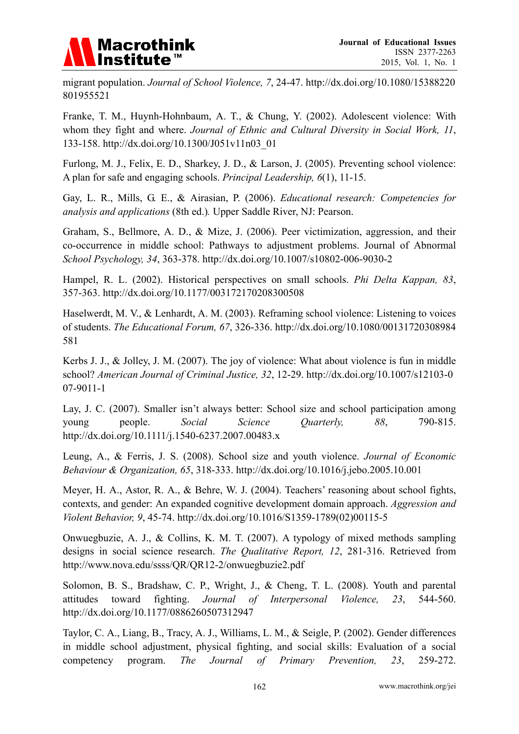

migrant population. *Journal of School Violence, 7*, 24-47. http://dx.doi.org/10.1080/15388220 801955521

Franke, T. M., Huynh-Hohnbaum, A. T., & Chung, Y. (2002). Adolescent violence: With whom they fight and where. *Journal of Ethnic and Cultural Diversity in Social Work, 11*, 133-158. http://dx.doi.org/10.1300/J051v11n03\_01

Furlong, M. J., Felix, E. D., Sharkey, J. D., & Larson, J. (2005). Preventing school violence: A plan for safe and engaging schools. *Principal Leadership, 6*(1), 11-15.

Gay, L. R., Mills, G. E., & Airasian, P. (2006). *Educational research: Competencies for analysis and applications* (8th ed.)*.* Upper Saddle River, NJ: Pearson.

Graham, S., Bellmore, A. D., & Mize, J. (2006). Peer victimization, aggression, and their co-occurrence in middle school: Pathways to adjustment problems. Journal of Abnormal *School Psychology, 34*, 363-378. http://dx.doi.org/10.1007/s10802-006-9030-2

Hampel, R. L. (2002). Historical perspectives on small schools. *Phi Delta Kappan, 83*, 357-363. http://dx.doi.org/10.1177/003172170208300508

Haselwerdt, M. V., & Lenhardt, A. M. (2003). Reframing school violence: Listening to voices of students. *The Educational Forum, 67*, 326-336. http://dx.doi.org/10.1080/00131720308984 581

Kerbs J. J., & Jolley, J. M. (2007). The joy of violence: What about violence is fun in middle school? *American Journal of Criminal Justice, 32*, 12-29. http://dx.doi.org/10.1007/s12103-0 07-9011-1

Lay, J. C. (2007). Smaller isn't always better: School size and school participation among young people. *Social Science Quarterly, 88*, 790-815. http://dx.doi.org/10.1111/j.1540-6237.2007.00483.x

Leung, A., & Ferris, J. S. (2008). School size and youth violence. *Journal of Economic Behaviour & Organization, 65*, 318-333. http://dx.doi.org/10.1016/j.jebo.2005.10.001

Meyer, H. A., Astor, R. A., & Behre, W. J. (2004). Teachers' reasoning about school fights, contexts, and gender: An expanded cognitive development domain approach. *Aggression and Violent Behavior, 9*, 45-74. http://dx.doi.org/10.1016/S1359-1789(02)00115-5

Onwuegbuzie, A. J., & Collins, K. M. T. (2007). A typology of mixed methods sampling designs in social science research. *The Qualitative Report, 12*, 281-316. Retrieved from http://www.nova.edu/ssss/QR/QR12-2/onwuegbuzie2.pdf

Solomon, B. S., Bradshaw, C. P., Wright, J., & Cheng, T. L. (2008). Youth and parental attitudes toward fighting. *Journal of Interpersonal Violence, 23*, 544-560. http://dx.doi.org/10.1177/0886260507312947

Taylor, C. A., Liang, B., Tracy, A. J., Williams, L. M., & Seigle, P. (2002). Gender differences in middle school adjustment, physical fighting, and social skills: Evaluation of a social competency program. *The Journal of Primary Prevention, 23*, 259-272.